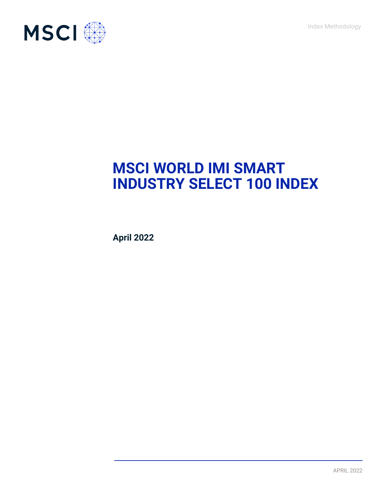Index Methodology



# **MSCI WORLD IMI SMART INDUSTRY SELECT 100 INDEX**

**April 2022**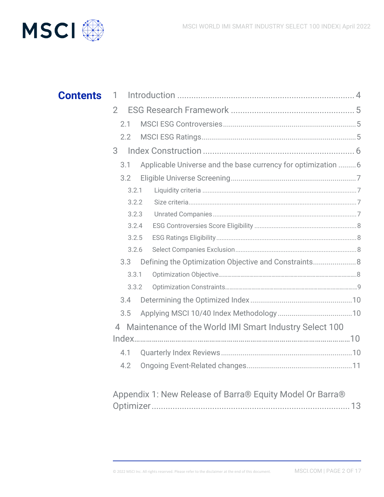

| <b>Contents</b> | $\mathbf{1}$                                                         |  |
|-----------------|----------------------------------------------------------------------|--|
|                 | $\overline{2}$                                                       |  |
|                 | 2.1                                                                  |  |
|                 | 2.2                                                                  |  |
|                 | 3                                                                    |  |
|                 | Applicable Universe and the base currency for optimization  6<br>3.1 |  |
|                 | 3.2                                                                  |  |
|                 | 3.2.1                                                                |  |
|                 | 3.2.2                                                                |  |
|                 | 3.2.3                                                                |  |
|                 | 3.2.4                                                                |  |
|                 | 3.2.5                                                                |  |
|                 | 3.2.6                                                                |  |
|                 | Defining the Optimization Objective and Constraints 8<br>3.3         |  |
|                 | 3.3.1                                                                |  |
|                 | 3.3.2                                                                |  |
|                 | 3.4                                                                  |  |
|                 | 3.5                                                                  |  |
|                 | Maintenance of the World IMI Smart Industry Select 100<br>4          |  |
|                 |                                                                      |  |
|                 | 4.1                                                                  |  |
|                 | 4.2                                                                  |  |
|                 |                                                                      |  |
|                 | Appendix 1: New Release of Barra® Equity Model Or Barra®             |  |

Optimizer.....................................................................................13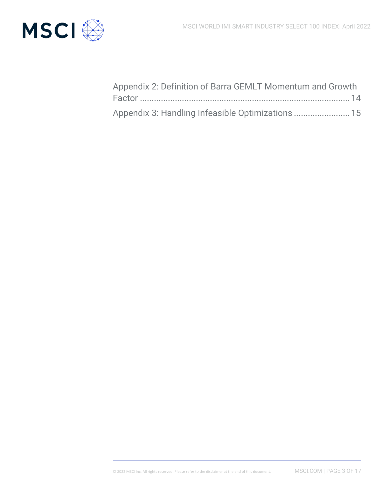

| Appendix 2: Definition of Barra GEMLT Momentum and Growth |
|-----------------------------------------------------------|
|                                                           |
|                                                           |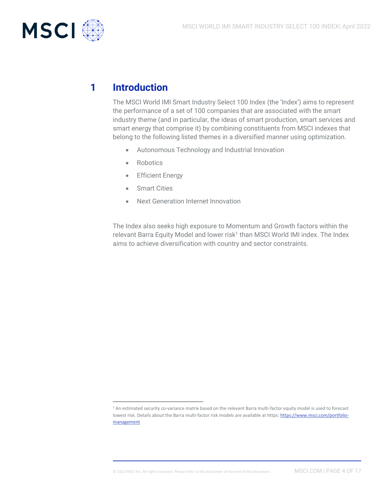

# **1 Introduction**

The MSCI World IMI Smart Industry Select 100 Index (the 'Index') aims to represent the performance of a set of 100 companies that are associated with the smart industry theme (and in particular, the ideas of smart production, smart services and smart energy that comprise it) by combining constituents from MSCI indexes that belong to the following listed themes in a diversified manner using optimization.

- Autonomous Technology and Industrial Innovation
- Robotics
- Efficient Energy
- Smart Cities
- Next Generation Internet Innovation

The Index also seeks high exposure to Momentum and Growth factors within the relevant Barra Equity Model and lower risk<sup>1</sup> than MSCI World IMI index. The Index aims to achieve diversification with country and sector constraints.

<sup>&</sup>lt;sup>1</sup> An estimated security co-variance matrix based on the relevant Barra multi-factor equity model is used to forecast lowest risk. Details about the Barra multi-factor risk models are available at https: [https://www.msci.com/portfolio](https://www.msci.com/portfolio-management)[management](https://www.msci.com/portfolio-management)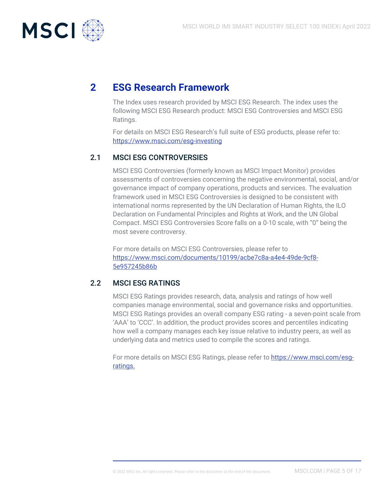

# **2 ESG Research Framework**

The Index uses research provided by MSCI ESG Research. The index uses the following MSCI ESG Research product: MSCI ESG Controversies and MSCI ESG Ratings.

For details on MSCI ESG Research's full suite of ESG products, please refer to: <https://www.msci.com/esg-investing>

### 2.1 MSCI ESG CONTROVERSIES

MSCI ESG Controversies (formerly known as MSCI Impact Monitor) provides assessments of controversies concerning the negative environmental, social, and/or governance impact of company operations, products and services. The evaluation framework used in MSCI ESG Controversies is designed to be consistent with international norms represented by the UN Declaration of Human Rights, the ILO Declaration on Fundamental Principles and Rights at Work, and the UN Global Compact. MSCI ESG Controversies Score falls on a 0-10 scale, with "0" being the most severe controversy.

For more details on MSCI ESG Controversies, please refer to [https://www.msci.com/documents/10199/acbe7c8a-a4e4-49de-9cf8-](https://www.msci.com/documents/10199/acbe7c8a-a4e4-49de-9cf8-5e957245b86b) [5e957245b86b](https://www.msci.com/documents/10199/acbe7c8a-a4e4-49de-9cf8-5e957245b86b)

### 2.2 MSCI ESG RATINGS

MSCI ESG Ratings provides research, data, analysis and ratings of how well companies manage environmental, social and governance risks and opportunities. MSCI ESG Ratings provides an overall company ESG rating - a seven-point scale from 'AAA' to 'CCC'. In addition, the product provides scores and percentiles indicating how well a company manages each key issue relative to industry peers, as well as underlying data and metrics used to compile the scores and ratings.

For more details on MSCI ESG Ratings, please refer to [https://www.msci.com/esg](https://www.msci.com/esg-ratings)[ratings.](https://www.msci.com/esg-ratings)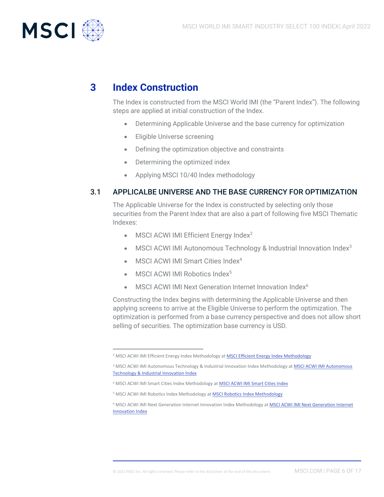

# **3 Index Construction**

The Index is constructed from the MSCI World IMI (the "Parent Index"). The following steps are applied at initial construction of the Index.

- Determining Applicable Universe and the base currency for optimization
- Eligible Universe screening
- Defining the optimization objective and constraints
- Determining the optimized index
- Applying MSCI 10/40 Index methodology

### 3.1 APPLICALBE UNIVERSE AND THE BASE CURRENCY FOR OPTIMIZATION

The Applicable Universe for the Index is constructed by selecting only those securities from the Parent Index that are also a part of following five MSCI Thematic Indexes:

- MSCI ACWI IMI Efficient Energy Index $2$
- MSCI ACWI IMI Autonomous Technology & Industrial Innovation Index<sup>3</sup>
- MSCI ACWI IMI Smart Cities Index<sup>4</sup>
- MSCI ACWI IMI Robotics Index<sup>5</sup>
- **MSCI ACWI IMI Next Generation Internet Innovation Index<sup>6</sup>**

Constructing the Index begins with determining the Applicable Universe and then applying screens to arrive at the Eligible Universe to perform the optimization. The optimization is performed from a base currency perspective and does not allow short selling of securities. The optimization base currency is USD.

<sup>&</sup>lt;sup>2</sup> MSCI ACWI IMI Efficient Energy Index Methodology at **MSCI Efficient Energy Index Methodology** 

<sup>&</sup>lt;sup>3</sup> MSCI ACWI IMI Autonomous Technology & Industrial Innovation Index Methodology at MSCI ACWI IMI Autonomous [Technology & Industrial Innovation Index](https://www.msci.com/eqb/methodology/meth_docs/ACWI_IMI_AUTONOM_TECH_INDUSTRIAL_INNOVATION_INDEX.pdf)

<sup>&</sup>lt;sup>4</sup> [MSCI ACWI IMI Smart Cities Index](https://www.msci.com/eqb/methodology/meth_docs/MSCI_ACWI_IMI_SMART_CITIES_INDEX_UPDT.pdf) Methodology at **MSCI ACWI IMI Smart Cities Index** 

<sup>&</sup>lt;sup>5</sup> MSCI ACWI IMI Robotics Index Methodology at **MSCI Robotics Index Methodology** 

<sup>6</sup> MSCI ACWI IMI Next Generation Internet Innovation Index Methodology a[t MSCI ACWI IMI Next Generation Internet](https://www.msci.com/eqb/methodology/meth_docs/MSCI_ACWI_IMI_Next_Generation_Internet_Innovation_Index_April2020.pdf)  [Innovation Index](https://www.msci.com/eqb/methodology/meth_docs/MSCI_ACWI_IMI_Next_Generation_Internet_Innovation_Index_April2020.pdf)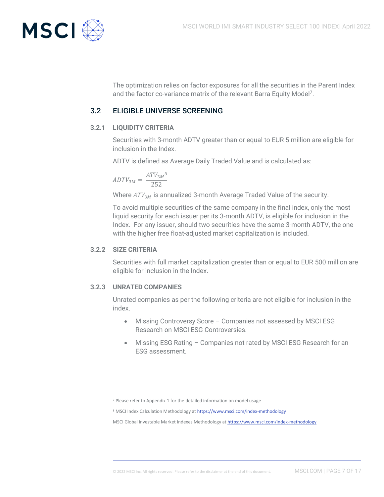

The optimization relies on factor exposures for all the securities in the Parent Index and the factor co-variance matrix of the relevant Barra Equity Model<sup>7</sup>.

### 3.2 ELIGIBLE UNIVERSE SCREENING

### **3.2.1 LIQUIDITY CRITERIA**

Securities with 3-month ADTV greater than or equal to EUR 5 million are eligible for inclusion in the Index.

ADTV is defined as Average Daily Traded Value and is calculated as:

$$
ADTV_{3M} = \frac{ATV_{3M}^8}{252}
$$

Where  $ATV_{3M}$  is annualized 3-month Average Traded Value of the security.

To avoid multiple securities of the same company in the final index, only the most liquid security for each issuer per its 3-month ADTV, is eligible for inclusion in the Index. For any issuer, should two securities have the same 3-month ADTV, the one with the higher free float-adjusted market capitalization is included.

### **3.2.2 SIZE CRITERIA**

Securities with full market capitalization greater than or equal to EUR 500 million are eligible for inclusion in the Index.

### **3.2.3 UNRATED COMPANIES**

Unrated companies as per the following criteria are not eligible for inclusion in the index.

- Missing Controversy Score Companies not assessed by MSCI ESG Research on MSCI ESG Controversies.
- Missing ESG Rating Companies not rated by MSCI ESG Research for an ESG assessment.

<sup>7</sup> Please refer to Appendix 1 for the detailed information on model usage

<sup>8</sup> MSCI Index Calculation Methodology a[t https://www.msci.com/index-methodology](https://www.msci.com/index-methodology)

MSCI Global Investable Market Indexes Methodology at <https://www.msci.com/index-methodology>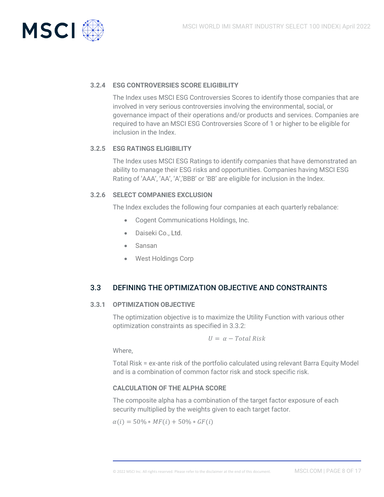

### **3.2.4 ESG CONTROVERSIES SCORE ELIGIBILITY**

The Index uses MSCI ESG Controversies Scores to identify those companies that are involved in very serious controversies involving the environmental, social, or governance impact of their operations and/or products and services. Companies are required to have an MSCI ESG Controversies Score of 1 or higher to be eligible for inclusion in the Index.

### **3.2.5 ESG RATINGS ELIGIBILITY**

The Index uses MSCI ESG Ratings to identify companies that have demonstrated an ability to manage their ESG risks and opportunities. Companies having MSCI ESG Rating of 'AAA', 'AA', 'A','BBB' or 'BB' are eligible for inclusion in the Index.

### **3.2.6 SELECT COMPANIES EXCLUSION**

The Index excludes the following four companies at each quarterly rebalance:

- Cogent Communications Holdings, Inc.
- Daiseki Co., Ltd.
- Sansan
- West Holdings Corp

### 3.3 DEFINING THE OPTIMIZATION OBJECTIVE AND CONSTRAINTS

#### **3.3.1 OPTIMIZATION OBJECTIVE**

The optimization objective is to maximize the Utility Function with various other optimization constraints as specified in 3.3.2:

$$
U = \alpha - \text{Total Risk}
$$

Where,

Total Risk = ex-ante risk of the portfolio calculated using relevant Barra Equity Model and is a combination of common factor risk and stock specific risk.

### **CALCULATION OF THE ALPHA SCORE**

The composite alpha has a combination of the target factor exposure of each security multiplied by the weights given to each target factor.

 $\alpha(i) = 50\% * MF(i) + 50\% * GF(i)$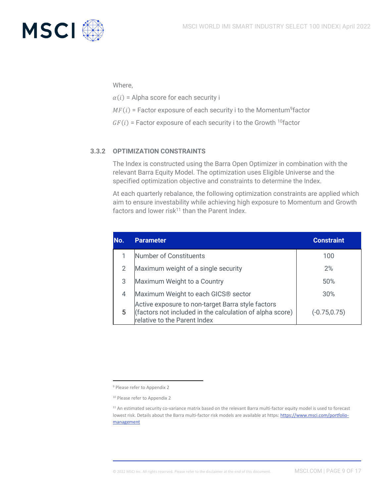

Where,

 $\alpha(i)$  = Alpha score for each security i

- $MF(i)$  = Factor exposure of each security i to the Momentum<sup>9</sup>factor
- $GF(i)$  = Factor exposure of each security i to the Growth <sup>10</sup>factor

### **3.3.2 OPTIMIZATION CONSTRAINTS**

The Index is constructed using the Barra Open Optimizer in combination with the relevant Barra Equity Model. The optimization uses Eligible Universe and the specified optimization objective and constraints to determine the Index.

At each quarterly rebalance, the following optimization constraints are applied which aim to ensure investability while achieving high exposure to Momentum and Growth factors and lower risk<sup>11</sup> than the Parent Index.

| No. | <b>Parameter</b>                                                                                                                              | <b>Constraint</b> |
|-----|-----------------------------------------------------------------------------------------------------------------------------------------------|-------------------|
|     | Number of Constituents                                                                                                                        | 100               |
| 2   | Maximum weight of a single security                                                                                                           | 2%                |
| 3   | Maximum Weight to a Country                                                                                                                   | 50%               |
| 4   | Maximum Weight to each GICS® sector                                                                                                           | 30%               |
| 5   | Active exposure to non-target Barra style factors<br>(factors not included in the calculation of alpha score)<br>relative to the Parent Index | (-0.75,0.75)      |

<sup>9</sup> Please refer to Appendix 2

<sup>&</sup>lt;sup>10</sup> Please refer to Appendix 2

<sup>&</sup>lt;sup>11</sup> An estimated security co-variance matrix based on the relevant Barra multi-factor equity model is used to forecast lowest risk. Details about the Barra multi-factor risk models are available at https: [https://www.msci.com/portfolio](https://www.msci.com/portfolio-managementf)[management](https://www.msci.com/portfolio-managementf)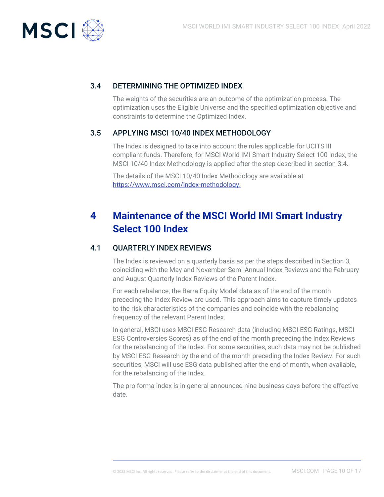

## 3.4 DETERMINING THE OPTIMIZED INDEX

The weights of the securities are an outcome of the optimization process. The optimization uses the Eligible Universe and the specified optimization objective and constraints to determine the Optimized Index.

### 3.5 APPLYING MSCI 10/40 INDEX METHODOLOGY

The Index is designed to take into account the rules applicable for UCITS III compliant funds. Therefore, for MSCI World IMI Smart Industry Select 100 Index, the MSCI 10/40 Index Methodology is applied after the step described in section 3.4.

The details of the MSCI 10/40 Index Methodology are available at [https://www.msci.com/index-methodology.](https://www.msci.com/index-methodology)

# **4 Maintenance of the MSCI World IMI Smart Industry Select 100 Index**

### 4.1 QUARTERLY INDEX REVIEWS

The Index is reviewed on a quarterly basis as per the steps described in Section 3, coinciding with the May and November Semi-Annual Index Reviews and the February and August Quarterly Index Reviews of the Parent Index.

For each rebalance, the Barra Equity Model data as of the end of the month preceding the Index Review are used. This approach aims to capture timely updates to the risk characteristics of the companies and coincide with the rebalancing frequency of the relevant Parent Index.

In general, MSCI uses MSCI ESG Research data (including MSCI ESG Ratings, MSCI ESG Controversies Scores) as of the end of the month preceding the Index Reviews for the rebalancing of the Index. For some securities, such data may not be published by MSCI ESG Research by the end of the month preceding the Index Review. For such securities, MSCI will use ESG data published after the end of month, when available, for the rebalancing of the Index.

The pro forma index is in general announced nine business days before the effective date.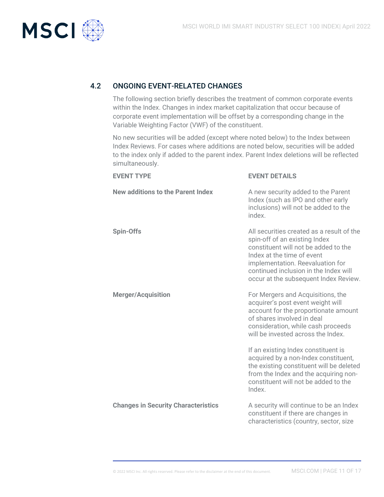

# 4.2 ONGOING EVENT-RELATED CHANGES

The following section briefly describes the treatment of common corporate events within the Index. Changes in index market capitalization that occur because of corporate event implementation will be offset by a corresponding change in the Variable Weighting Factor (VWF) of the constituent.

No new securities will be added (except where noted below) to the Index between Index Reviews. For cases where additions are noted below, securities will be added to the index only if added to the parent index. Parent Index deletions will be reflected simultaneously.

| <b>EVENT TYPE</b>                          | <b>EVENT DETAILS</b>                                                                                                                                                                                                                                                   |
|--------------------------------------------|------------------------------------------------------------------------------------------------------------------------------------------------------------------------------------------------------------------------------------------------------------------------|
| <b>New additions to the Parent Index</b>   | A new security added to the Parent<br>Index (such as IPO and other early<br>inclusions) will not be added to the<br>index.                                                                                                                                             |
| <b>Spin-Offs</b>                           | All securities created as a result of the<br>spin-off of an existing Index<br>constituent will not be added to the<br>Index at the time of event<br>implementation. Reevaluation for<br>continued inclusion in the Index will<br>occur at the subsequent Index Review. |
| <b>Merger/Acquisition</b>                  | For Mergers and Acquisitions, the<br>acquirer's post event weight will<br>account for the proportionate amount<br>of shares involved in deal<br>consideration, while cash proceeds<br>will be invested across the Index.                                               |
|                                            | If an existing Index constituent is<br>acquired by a non-Index constituent,<br>the existing constituent will be deleted<br>from the Index and the acquiring non-<br>constituent will not be added to the<br>Index.                                                     |
| <b>Changes in Security Characteristics</b> | A security will continue to be an Index<br>constituent if there are changes in<br>characteristics (country, sector, size                                                                                                                                               |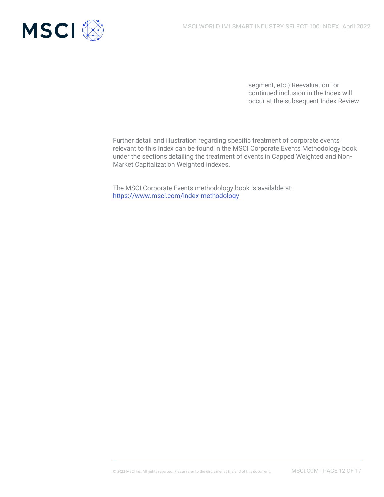

segment, etc.) Reevaluation for continued inclusion in the Index will occur at the subsequent Index Review.

Further detail and illustration regarding specific treatment of corporate events relevant to this Index can be found in the MSCI Corporate Events Methodology book under the sections detailing the treatment of events in Capped Weighted and Non-Market Capitalization Weighted indexes.

The MSCI Corporate Events methodology book is available at: <https://www.msci.com/index-methodology>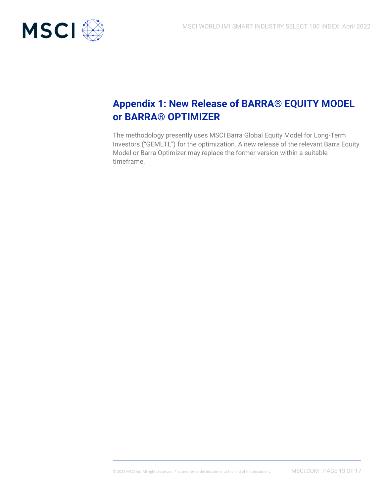

# **Appendix 1: New Release of BARRA® EQUITY MODEL or BARRA® OPTIMIZER**

The methodology presently uses MSCI Barra Global Equity Model for Long-Term Investors ("GEMLTL") for the optimization. A new release of the relevant Barra Equity Model or Barra Optimizer may replace the former version within a suitable timeframe.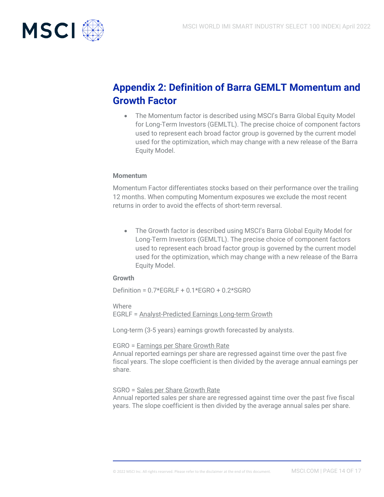

# **Appendix 2: Definition of Barra GEMLT Momentum and Growth Factor**

• The Momentum factor is described using MSCI's Barra Global Equity Model for Long-Term Investors (GEMLTL). The precise choice of component factors used to represent each broad factor group is governed by the current model used for the optimization, which may change with a new release of the Barra Equity Model.

#### **Momentum**

Momentum Factor differentiates stocks based on their performance over the trailing 12 months. When computing Momentum exposures we exclude the most recent returns in order to avoid the effects of short-term reversal.

• The Growth factor is described using MSCI's Barra Global Equity Model for Long-Term Investors (GEMLTL). The precise choice of component factors used to represent each broad factor group is governed by the current model used for the optimization, which may change with a new release of the Barra Equity Model.

#### **Growth**

Definition = 0.7\*EGRLF + 0.1\*EGRO + 0.2\*SGRO

**Where** 

EGRLF = Analyst-Predicted Earnings Long-term Growth

Long-term (3-5 years) earnings growth forecasted by analysts.

#### EGRO = Earnings per Share Growth Rate

Annual reported earnings per share are regressed against time over the past five fiscal years. The slope coefficient is then divided by the average annual earnings per share.

SGRO = Sales per Share Growth Rate Annual reported sales per share are regressed against time over the past five fiscal years. The slope coefficient is then divided by the average annual sales per share.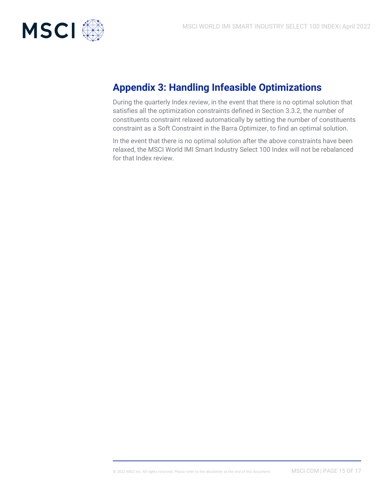

# **Appendix 3: Handling Infeasible Optimizations**

During the quarterly Index review, in the event that there is no optimal solution that satisfies all the optimization constraints defined in Section 3.3.2, the number of constituents constraint relaxed automatically by setting the number of constituents constraint as a Soft Constraint in the Barra Optimizer, to find an optimal solution.

In the event that there is no optimal solution after the above constraints have been relaxed, the MSCI World IMI Smart Industry Select 100 Index will not be rebalanced for that Index review.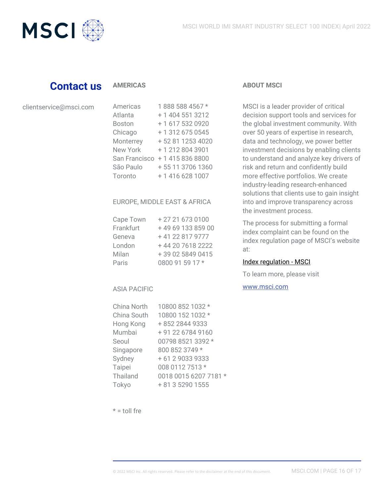

# **Contact us**

### **AMERICAS**

| clientservice@msci.com |  |  |
|------------------------|--|--|
|                        |  |  |

| Americas        | 1888 588 4567 *   |
|-----------------|-------------------|
| Atlanta         | + 1 404 551 3212  |
| <b>Boston</b>   | +1 617 532 0920   |
| Chicago         | + 1 312 675 0545  |
| Monterrey       | + 52 81 1253 4020 |
| <b>New York</b> | +12128043901      |
| San Francisco   | +14158368800      |
| São Paulo       | + 55 11 3706 1360 |
| Toronto         | +1 416 628 1007   |
|                 |                   |

### EUROPE, MIDDLE EAST & AFRICA

| Cape Town | +27216730100     |
|-----------|------------------|
| Frankfurt | +496913385900    |
| Geneva    | +41 22 817 9777  |
| London    | +44 20 7618 2222 |
| Milan     | +39 02 5849 0415 |
| Paris     | 0800 91 59 17 *  |

### ASIA PACIFIC

| China North     | 10800 852 1032 *      |
|-----------------|-----------------------|
| China South     | 10800 152 1032 *      |
| Hong Kong       | +852 2844 9333        |
| Mumbai          | + 91 22 6784 9160     |
| Seoul           | 00798 8521 3392 *     |
| Singapore       | 800 852 3749 *        |
| Sydney          | + 61 2 9033 9333      |
| Taipei          | 008 0112 7513 *       |
| <b>Thailand</b> | 0018 0015 6207 7181 * |
| Tokyo           | + 81 3 5290 1555      |
|                 |                       |

 $* =$  toll fre

### **ABOUT MSCI**

MSCI is a leader provider of critical decision support tools and services for the global investment community. With over 50 years of expertise in research, data and technology, we power better investment decisions by enabling clients to understand and analyze key drivers of risk and return and confidently build more effective portfolios. We create industry-leading research-enhanced solutions that clients use to gain insight into and improve transparency across the investment process.

The process for submitting a formal index complaint can be found on the index regulation page of MSCI's website at:

### [Index regulation -](https://www.msci.com/index-regulation) MSCI

To learn more, please visit

#### [www.msci.com](http://www.msci.com/)